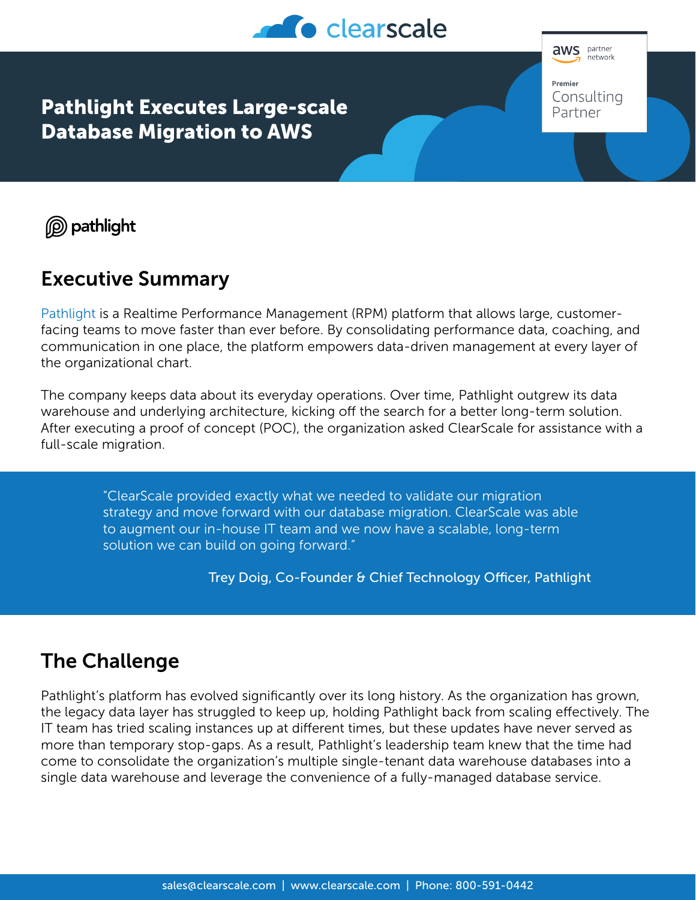

Consulting Partner

Pathlight Executes Large-scale Database Migration to AWS



## Executive Summary

[Pathlight](https://www.pathlight.com/) is a Realtime Performance Management (RPM) platform that allows large, customerfacing teams to move faster than ever before. By consolidating performance data, coaching, and communication in one place, the platform empowers data-driven management at every layer of the organizational chart.

The company keeps data about its everyday operations. Over time, Pathlight outgrew its data warehouse and underlying architecture, kicking off the search for a better long-term solution. After executing a proof of concept (POC), the organization asked ClearScale for assistance with a full-scale migration.

> "ClearScale provided exactly what we needed to validate our migration strategy and move forward with our database migration. ClearScale was able to augment our in-house IT team and we now have a scalable, long-term solution we can build on going forward."

> > Trey Doig, Co-Founder & Chief Technology Officer, Pathlight

## The Challenge

Pathlight's platform has evolved significantly over its long history. As the organization has grown, the legacy data layer has struggled to keep up, holding Pathlight back from scaling effectively. The IT team has tried scaling instances up at different times, but these updates have never served as more than temporary stop-gaps. As a result, Pathlight's leadership team knew that the time had come to consolidate the organization's multiple single-tenant data warehouse databases into a single data warehouse and leverage the convenience of a fully-managed database service.